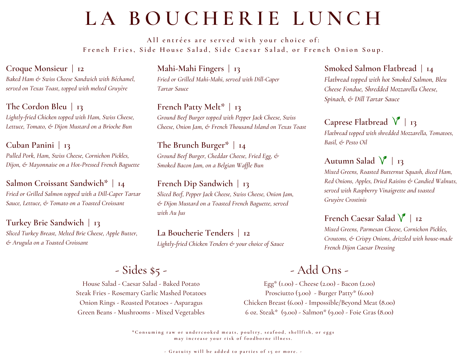# **L A B O U C H E R I E L U N C H**

All entrées are served with your choice of: French Fries, Side House Salad, Side Caesar Salad, or French Onion Soup.

#### **Croque Monsieur | 12**

*Baked Ham & Swiss Cheese Sandwich with Béchamel, served on Texas Toast, topped with melted Gruyère*

**The Cordon Bleu | 13** *Lightly-fried Chicken topped with Ham, Swiss Cheese, Lettuce, Tomato, & Dijon Mustard on a Brioche Bun*

#### **Cuban Panini | 13** *Pulled Pork, Ham, Swiss Cheese, Cornichon Pickles, Dijon, & Mayonnaise on a Hot-Pressed French Baguette*

#### **Salmon Croissant Sandwich\* | 14**

*Fried or Grilled Salmon topped with a Dill-Caper Tartar Sauce, Lettuce, & Tomato on a Toasted Croissant*

### **Turkey Brie Sandwich | 13**

*Sliced Turkey Breast, Melted Brie Cheese, Apple Butter, & Arugula on a Toasted Croissant*

**Mahi-Mahi Fingers | 13** *Fried or Grilled Mahi-Mahi, served with Dill-Caper Tartar Sauce*

#### **French Patty Melt\* | 13** *Ground Beef Burger topped with Pepper Jack Cheese, Swiss Cheese, Onion Jam, & French Thousand Island on Texas Toast*

**The Brunch Burger\* | 14** *Ground Beef Burger, Cheddar Cheese, Fried Egg, & Smoked Bacon Jam, on a Belgian Waffle Bun*

### **French Dip Sandwich | 13**

*Sliced Beef, Pepper Jack Cheese, Swiss Cheese, Onion Jam, & Dijon Mustard on a Toasted French Baguette, served with Au Jus*

**La Boucherie Tenders | 12** *Lightly-fried Chicken Tenders & your choice of Sauce*

# - Sides \$5 -

House Salad - Caesar Salad - Baked Potato Steak Fries - Rosemary Garlic Mashed Potatoes Onion Rings - Roasted Potatoes - Asparagus Green Beans - Mushrooms - Mixed Vegetables

### **Smoked Salmon Flatbread | 14**

*Flatbread topped with hot Smoked Salmon, Bleu Cheese Fondue, Shredded Mozzarella Cheese, Spinach, & Dill Tartar Sauce*

# **Caprese Flatbread**  $\sqrt{ }$  | **13**

*Flatbread topped with shredded Mozzarella, Tomatoes, Basil, & Pesto Oil*

# Autumn Salad  $\sqrt{}$  | 13

*Mixed Greens, Roasted Butternut Squash, diced Ham, Red Onions, Apples, Dried Raisins & Candied Walnuts, served with Raspberry Vinaigrette and toasted Gruyère Crostinis*

## **French Caesar Salad | 12**

*Mixed Greens, Parmesan Cheese, Cornichon Pickles, Croutons, & Crispy Onions, drizzled with house-made French Dijon Caesar Dressing*

# - Add Ons -

Egg\* (1.00) - Cheese (2.00) - Bacon (2.00) Prosciutto (3.00) - Burger Patty\* (6.00) Chicken Breast (6.00) - Impossible/Beyond Meat (8.00) 6 oz. Steak\* (9.00) - Salmon\* (9.00) - Foie Gras (8.00)

\*Consuming raw or undercooked meats, poultry, seafood, shellfish, or eggs may increase your risk of foodborne illness.

- Gratuity will be added to parties of 15 or more. -